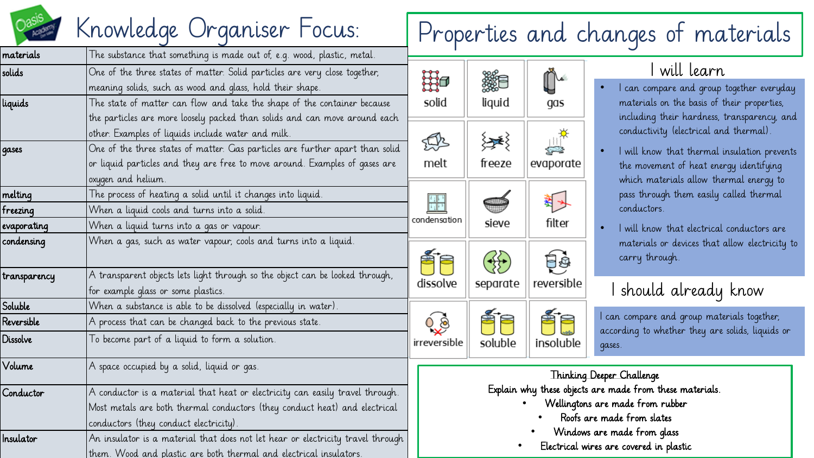

# Knowledge Organiser Focus: Properties and changes of materials

| materials                 | The substance that something is made out of, e.g. wood, plastic, metal.                                                                                                                                              |                              |                                                            |                  |  |  |
|---------------------------|----------------------------------------------------------------------------------------------------------------------------------------------------------------------------------------------------------------------|------------------------------|------------------------------------------------------------|------------------|--|--|
| solids<br>liquids         | One of the three states of matter. Solid particles are very close together,<br>meaning solids, such as wood and glass, hold their shape.<br>The state of matter can flow and take the shape of the container because |                              | liquid                                                     | gas              |  |  |
|                           | the particles are more loosely packed than solids and can move around each<br>other. Examples of liquids include water and milk.                                                                                     | solid                        |                                                            |                  |  |  |
| qases                     | One of the three states of matter. Gas particles are further apart than solid<br>or liquid particles and they are free to move around. Examples of gases are<br>oxygen and helium.                                   | $\sum_{i=1}^{n}$<br>melt     | 子さく<br>freeze                                              | evaporate        |  |  |
| melting<br>freezing       | The process of heating a solid until it changes into liquid.<br>When a liquid cools and turns into a solid.                                                                                                          |                              |                                                            |                  |  |  |
| evaporating<br>condensing | When a liquid turns into a gas or vapour.<br>When a gas, such as water vapour, cools and turns into a liquid.                                                                                                        | condensation                 | sieve                                                      | filter           |  |  |
| transparency              | A transparent objects lets light through so the object can be looked through,<br>for example glass or some plastics.                                                                                                 | dissolve                     | separate                                                   | Ęġ<br>reversible |  |  |
| Soluble                   | When a substance is able to be dissolved (especially in water).                                                                                                                                                      |                              |                                                            |                  |  |  |
| Reversible                | A process that can be changed back to the previous state.                                                                                                                                                            |                              |                                                            |                  |  |  |
| Dissolve                  | To become part of a liquid to form a solution.                                                                                                                                                                       | irreversible                 | soluble                                                    | insoluble        |  |  |
| Volume                    | A space occupied by a solid, liquid or gas.                                                                                                                                                                          | Thinking D                   |                                                            |                  |  |  |
| Conductor                 | A conductor is a material that heat or electricity can easily travel through.<br>Most metals are both thermal conductors (they conduct heat) and electrical<br>conductors (they conduct electricity).                |                              | Explain why these objects as<br>Wellingtons o<br>Roofs are |                  |  |  |
| Insulator                 | An insulator is a material that does not let hear or electricity travel through<br>them. Wood and plastic are both thermal and electrical insulators.                                                                | Windows a<br>Electrical wire |                                                            |                  |  |  |

## will learn

- I can compare and group together everyday materials on the basis of their properties, including their hardness, transparency, and conductivity (electrical and thermal).
- I will know that thermal insulation prevents the movement of heat energy identifying which materials allow thermal energy to pass through them easily called thermal conductors.
- I will know that electrical conductors are materials or devices that allow electricity to carry through.

## should already know

can compare and group materials together, according to whether they are solids, liquids or gases.

### eeper Challenge re made from these materials. are made from rubber made from slates are made from glass es are covered in plastic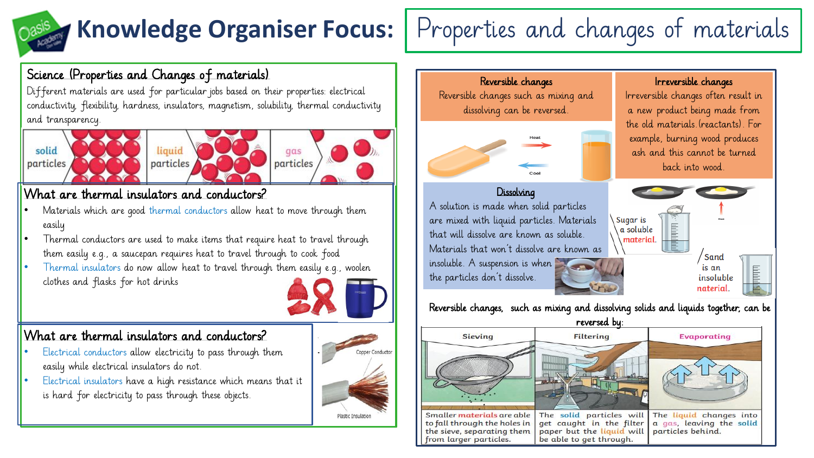## **Knowledge Organiser Focus:** | Properties and changes of materials

## Science (Properties and Changes of materials)

Different materials are used for particular jobs based on their properties: electrical conductivity, flexibility, hardness, insulators, magnetism, solubility, thermal conductivity and transparency.







qas particles

## What are thermal insulators and conductors?

- Materials which are good thermal conductors allow heat to move through them easily
- Thermal conductors are used to make items that require heat to travel through them easily e.g., a saucepan requires heat to travel through to cook food
- Thermal insulators do now allow heat to travel through them easily e.g., woolen clothes and flasks for hot drinks



### What are thermal insulators and conductors?

- Electrical conductors allow electricity to pass through them easily while electrical insulators do not.
- Electrical insulators have a high resistance which means that it is hard for electricity to pass through these objects.





Smaller materials are able The solid particles will to fall through the holes in get caught in the filter the sieve, separating them paper but the liquid will from larger particles. be able to get through.

The liquid changes into a gas, leaving the solid particles behind.